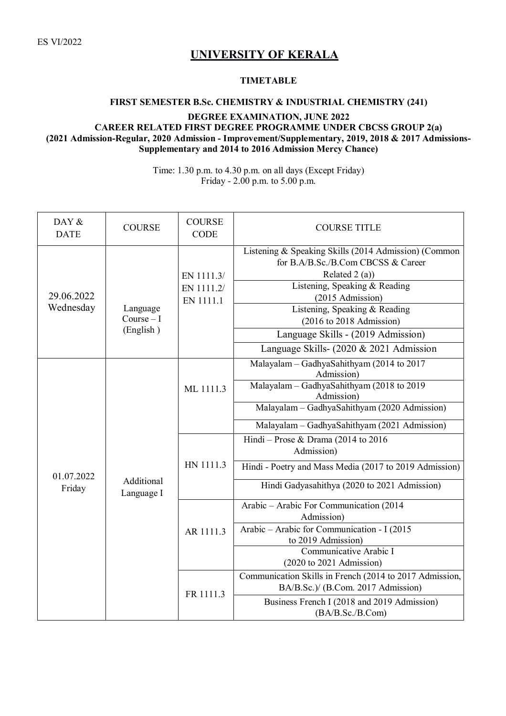ES VI/2022

## **UNIVERSITY OF KERALA**

## **TIMETABLE**

## **FIRST SEMESTER B.Sc. CHEMISTRY & INDUSTRIAL CHEMISTRY (241) DEGREE EXAMINATION, JUNE 2022 CAREER RELATED FIRST DEGREE PROGRAMME UNDER CBCSS GROUP 2(a) (2021 Admission-Regular, 2020 Admission - Improvement/Supplementary, 2019, 2018 & 2017 Admissions-Supplementary and 2014 to 2016 Admission Mercy Chance)**

Time: 1.30 p.m. to 4.30 p.m. on all days (Except Friday) Friday - 2.00 p.m. to 5.00 p.m.

| DAY &<br><b>DATE</b>    | <b>COURSE</b>                       | <b>COURSE</b><br><b>CODE</b> | <b>COURSE TITLE</b>                                                                                            |
|-------------------------|-------------------------------------|------------------------------|----------------------------------------------------------------------------------------------------------------|
| 29.06.2022<br>Wednesday | Language<br>$Course-I$<br>(English) | EN 1111.3/                   | Listening & Speaking Skills (2014 Admission) (Common<br>for B.A/B.Sc./B.Com CBCSS & Career<br>Related $2(a)$ ) |
|                         |                                     | EN 1111.2/<br>EN 1111.1      | Listening, Speaking & Reading<br>(2015 Admission)                                                              |
|                         |                                     |                              | Listening, Speaking & Reading<br>$(2016 \text{ to } 2018 \text{ Admission})$                                   |
|                         |                                     |                              | Language Skills - (2019 Admission)                                                                             |
|                         |                                     |                              | Language Skills- (2020 & 2021 Admission                                                                        |
| 01.07.2022<br>Friday    | Additional<br>Language I            | ML 1111.3                    | Malayalam - GadhyaSahithyam (2014 to 2017<br>Admission)                                                        |
|                         |                                     |                              | Malayalam - GadhyaSahithyam (2018 to 2019<br>Admission)                                                        |
|                         |                                     |                              | Malayalam - GadhyaSahithyam (2020 Admission)                                                                   |
|                         |                                     |                              | Malayalam - GadhyaSahithyam (2021 Admission)                                                                   |
|                         |                                     | HN 1111.3                    | Hindi - Prose & Drama (2014 to 2016)<br>Admission)                                                             |
|                         |                                     |                              | Hindi - Poetry and Mass Media (2017 to 2019 Admission)                                                         |
|                         |                                     |                              | Hindi Gadyasahithya (2020 to 2021 Admission)                                                                   |
|                         |                                     | AR 1111.3                    | Arabic - Arabic For Communication (2014<br>Admission)                                                          |
|                         |                                     |                              | Arabic - Arabic for Communication - I (2015<br>to 2019 Admission)                                              |
|                         |                                     |                              | Communicative Arabic I<br>$(2020 \text{ to } 2021 \text{ Admission})$                                          |
|                         |                                     | FR 1111.3                    | Communication Skills in French (2014 to 2017 Admission,<br>BA/B.Sc.)/ (B.Com. 2017 Admission)                  |
|                         |                                     |                              | Business French I (2018 and 2019 Admission)<br>(BA/B.Sc./B.Com)                                                |